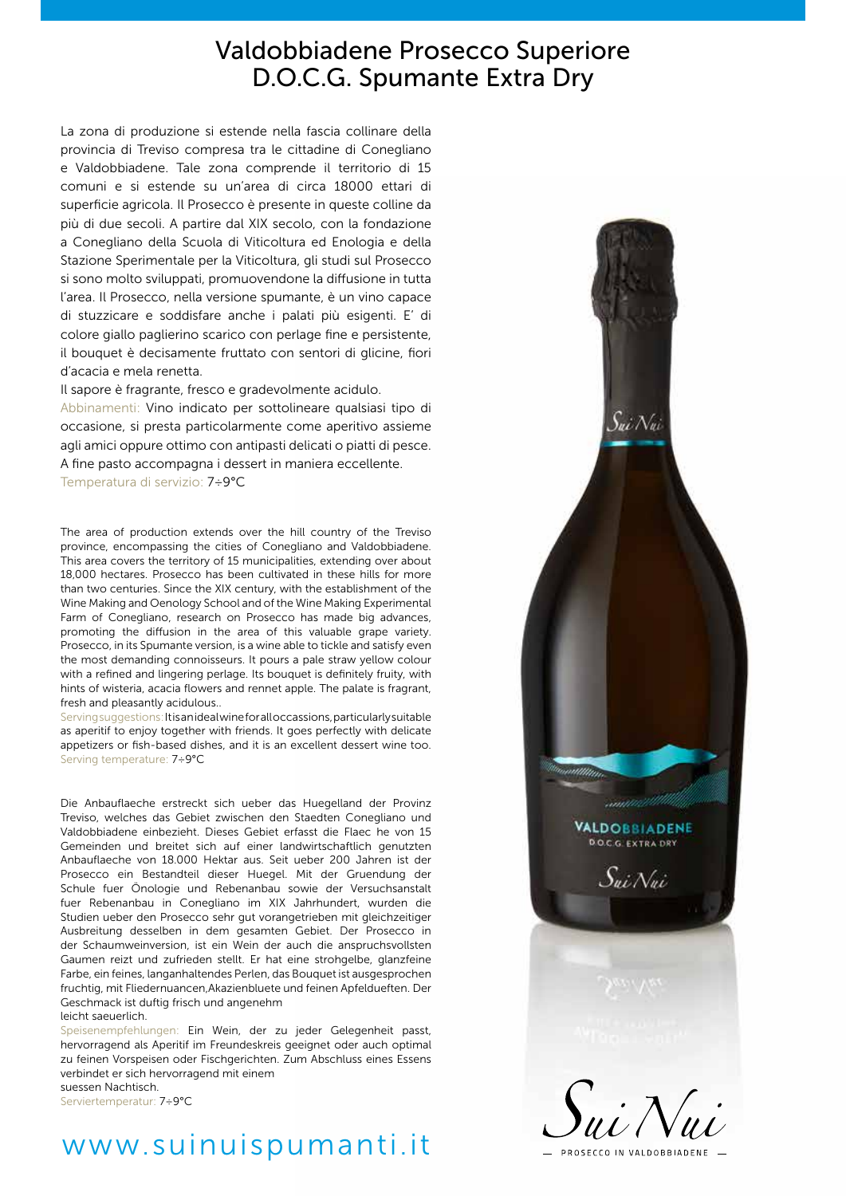## Valdobbiadene Prosecco Superiore D.O.C.G. Spumante Extra Dry

La zona di produzione si estende nella fascia collinare della provincia di Treviso compresa tra le cittadine di Conegliano e Valdobbiadene. Tale zona comprende il territorio di 15 comuni e si estende su un'area di circa 18000 ettari di superficie agricola. Il Prosecco è presente in queste colline da più di due secoli. A partire dal XIX secolo, con la fondazione a Conegliano della Scuola di Viticoltura ed Enologia e della Stazione Sperimentale per la Viticoltura, gli studi sul Prosecco si sono molto sviluppati, promuovendone la diffusione in tutta l'area. Il Prosecco, nella versione spumante, è un vino capace di stuzzicare e soddisfare anche i palati più esigenti. E' di colore giallo paglierino scarico con perlage fine e persistente, il bouquet è decisamente fruttato con sentori di glicine, fiori d'acacia e mela renetta.

Il sapore è fragrante, fresco e gradevolmente acidulo.

Abbinamenti: Vino indicato per sottolineare qualsiasi tipo di occasione, si presta particolarmente come aperitivo assieme agli amici oppure ottimo con antipasti delicati o piatti di pesce. A fine pasto accompagna i dessert in maniera eccellente. Temperatura di servizio: 7÷9°C

The area of production extends over the hill country of the Treviso province, encompassing the cities of Conegliano and Valdobbiadene. This area covers the territory of 15 municipalities, extending over about 18,000 hectares. Prosecco has been cultivated in these hills for more than two centuries. Since the XIX century, with the establishment of the Wine Making and Oenology School and of the Wine Making Experimental Farm of Conegliano, research on Prosecco has made big advances, promoting the diffusion in the area of this valuable grape variety. Prosecco, in its Spumante version, is a wine able to tickle and satisfy even the most demanding connoisseurs. It pours a pale straw yellow colour with a refined and lingering perlage. Its bouquet is definitely fruity, with hints of wisteria, acacia flowers and rennet apple. The palate is fragrant, fresh and pleasantly acidulous..

Serving suggestions: It is an ideal wine for all occassions, particularly suitable as aperitif to enjoy together with friends. It goes perfectly with delicate appetizers or fish-based dishes, and it is an excellent dessert wine too. Serving temperature: 7÷9°C

Die Anbauflaeche erstreckt sich ueber das Huegelland der Provinz Treviso, welches das Gebiet zwischen den Staedten Conegliano und Valdobbiadene einbezieht. Dieses Gebiet erfasst die Flaec he von 15 Gemeinden und breitet sich auf einer landwirtschaftlich genutzten Anbauflaeche von 18.000 Hektar aus. Seit ueber 200 Jahren ist der Prosecco ein Bestandteil dieser Huegel. Mit der Gruendung der Schule fuer Önologie und Rebenanbau sowie der Versuchsanstalt fuer Rebenanbau in Conegliano im XIX Jahrhundert, wurden die Studien ueber den Prosecco sehr gut vorangetrieben mit gleichzeitiger Ausbreitung desselben in dem gesamten Gebiet. Der Prosecco in der Schaumweinversion, ist ein Wein der auch die anspruchsvollsten Gaumen reizt und zufrieden stellt. Er hat eine strohgelbe, glanzfeine Farbe, ein feines, langanhaltendes Perlen, das Bouquet ist ausgesprochen fruchtig, mit Fliedernuancen,Akazienbluete und feinen Apfeldueften. Der Geschmack ist duftig frisch und angenehm leicht saeuerlich.

Speisenempfehlungen: Ein Wein, der zu jeder Gelegenheit passt, hervorragend als Aperitif im Freundeskreis geeignet oder auch optimal zu feinen Vorspeisen oder Fischgerichten. Zum Abschluss eines Essens verbindet er sich hervorragend mit einem suessen Nachtisch. Serviertemperatur: 7÷9°C

# www.suinuispumanti.it